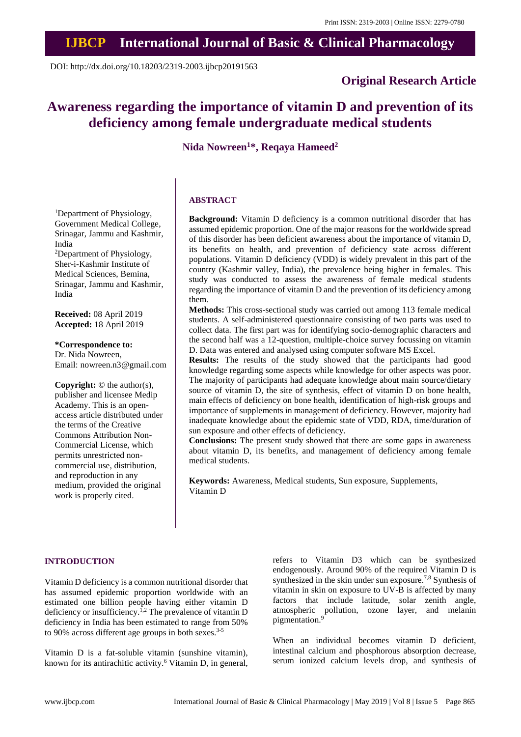## **IJBCP International Journal of Basic & Clinical Pharmacology**

DOI: http://dx.doi.org/10.18203/2319-2003.ijbcp20191563

## **Original Research Article**

# **Awareness regarding the importance of vitamin D and prevention of its deficiency among female undergraduate medical students**

**Nida Nowreen<sup>1</sup>\*, Reqaya Hameed<sup>2</sup>**

## **ABSTRACT**

**Background:** Vitamin D deficiency is a common nutritional disorder that has assumed epidemic proportion. One of the major reasons for the worldwide spread of this disorder has been deficient awareness about the importance of vitamin D, its benefits on health, and prevention of deficiency state across different populations. Vitamin D deficiency (VDD) is widely prevalent in this part of the country (Kashmir valley, India), the prevalence being higher in females. This study was conducted to assess the awareness of female medical students regarding the importance of vitamin D and the prevention of its deficiency among them.

**Methods:** This cross-sectional study was carried out among 113 female medical students. A self-administered questionnaire consisting of two parts was used to collect data. The first part was for identifying socio-demographic characters and the second half was a 12-question, multiple-choice survey focussing on vitamin D. Data was entered and analysed using computer software MS Excel.

**Results:** The results of the study showed that the participants had good knowledge regarding some aspects while knowledge for other aspects was poor. The majority of participants had adequate knowledge about main source/dietary source of vitamin D, the site of synthesis, effect of vitamin D on bone health, main effects of deficiency on bone health, identification of high-risk groups and importance of supplements in management of deficiency. However, majority had inadequate knowledge about the epidemic state of VDD, RDA, time/duration of sun exposure and other effects of deficiency.

**Conclusions:** The present study showed that there are some gaps in awareness about vitamin D, its benefits, and management of deficiency among female medical students.

**Keywords:** Awareness, Medical students, Sun exposure, Supplements, Vitamin D

#### **INTRODUCTION**

Vitamin D deficiency is a common nutritional disorder that has assumed epidemic proportion worldwide with an estimated one billion people having either vitamin D deficiency or insufficiency.<sup>1,2</sup> The prevalence of vitamin D deficiency in India has been estimated to range from 50% to 90% across different age groups in both sexes.<sup>3-5</sup>

Vitamin D is a fat-soluble vitamin (sunshine vitamin), known for its antirachitic activity.<sup>6</sup> Vitamin D, in general, refers to Vitamin D3 which can be synthesized endogenously. Around 90% of the required Vitamin D is synthesized in the skin under sun exposure.<sup>7,8</sup> Synthesis of vitamin in skin on exposure to UV-B is affected by many factors that include latitude, solar zenith angle, atmospheric pollution, ozone layer, and melanin pigmentation.<sup>9</sup>

When an individual becomes vitamin D deficient, intestinal calcium and phosphorous absorption decrease, serum ionized calcium levels drop, and synthesis of

<sup>1</sup>Department of Physiology, Government Medical College, Srinagar, Jammu and Kashmir, India

<sup>2</sup>Department of Physiology, Sher-i-Kashmir Institute of Medical Sciences, Bemina, Srinagar, Jammu and Kashmir, India

**Received:** 08 April 2019 **Accepted:** 18 April 2019

**\*Correspondence to:**

Dr. Nida Nowreen, Email: nowreen.n3@gmail.com

**Copyright:** © the author(s), publisher and licensee Medip Academy. This is an openaccess article distributed under the terms of the Creative Commons Attribution Non-Commercial License, which permits unrestricted noncommercial use, distribution, and reproduction in any medium, provided the original work is properly cited.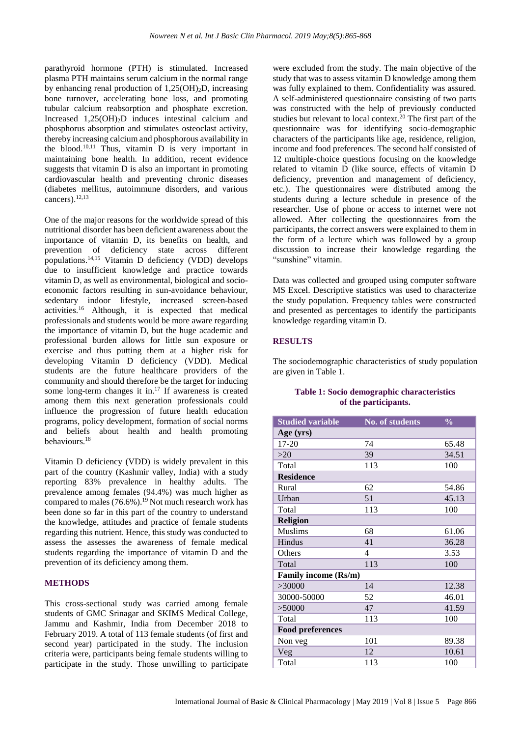parathyroid hormone (PTH) is stimulated. Increased plasma PTH maintains serum calcium in the normal range by enhancing renal production of  $1,25(OH)_{2}D$ , increasing bone turnover, accelerating bone loss, and promoting tubular calcium reabsorption and phosphate excretion. Increased  $1,25(OH)<sub>2</sub>D$  induces intestinal calcium and phosphorus absorption and stimulates osteoclast activity, thereby increasing calcium and phosphorous availability in the blood.10,11 Thus, vitamin D is very important in maintaining bone health. In addition, recent evidence suggests that vitamin D is also an important in promoting cardiovascular health and preventing chronic diseases (diabetes mellitus, autoimmune disorders, and various cancers).<sup>12,13</sup>

One of the major reasons for the worldwide spread of this nutritional disorder has been deficient awareness about the importance of vitamin D, its benefits on health, and prevention of deficiency state across different populations.<sup>14,15</sup> Vitamin D deficiency (VDD) develops due to insufficient knowledge and practice towards vitamin D, as well as environmental, biological and socioeconomic factors resulting in sun-avoidance behaviour, sedentary indoor lifestyle, increased screen-based activities.<sup>16</sup> Although, it is expected that medical professionals and students would be more aware regarding the importance of vitamin D, but the huge academic and professional burden allows for little sun exposure or exercise and thus putting them at a higher risk for developing Vitamin D deficiency (VDD). Medical students are the future healthcare providers of the community and should therefore be the target for inducing some long-term changes it in.<sup>17</sup> If awareness is created among them this next generation professionals could influence the progression of future health education programs, policy development, formation of social norms and beliefs about health and health promoting behaviours.<sup>18</sup>

Vitamin D deficiency (VDD) is widely prevalent in this part of the country (Kashmir valley, India) with a study reporting 83% prevalence in healthy adults. The prevalence among females (94.4%) was much higher as compared to males (76.6%).<sup>19</sup> Not much research work has been done so far in this part of the country to understand the knowledge, attitudes and practice of female students regarding this nutrient. Hence, this study was conducted to assess the assesses the awareness of female medical students regarding the importance of vitamin D and the prevention of its deficiency among them.

## **METHODS**

This cross-sectional study was carried among female students of GMC Srinagar and SKIMS Medical College, Jammu and Kashmir, India from December 2018 to February 2019. A total of 113 female students (of first and second year) participated in the study. The inclusion criteria were, participants being female students willing to participate in the study. Those unwilling to participate

were excluded from the study. The main objective of the study that was to assess vitamin D knowledge among them was fully explained to them. Confidentiality was assured. A self-administered questionnaire consisting of two parts was constructed with the help of previously conducted studies but relevant to local context.<sup>20</sup> The first part of the questionnaire was for identifying socio-demographic characters of the participants like age, residence, religion, income and food preferences. The second half consisted of 12 multiple-choice questions focusing on the knowledge related to vitamin D (like source, effects of vitamin D deficiency, prevention and management of deficiency, etc.). The questionnaires were distributed among the students during a lecture schedule in presence of the researcher. Use of phone or access to internet were not allowed. After collecting the questionnaires from the participants, the correct answers were explained to them in the form of a lecture which was followed by a group discussion to increase their knowledge regarding the "sunshine" vitamin.

Data was collected and grouped using computer software MS Excel. Descriptive statistics was used to characterize the study population. Frequency tables were constructed and presented as percentages to identify the participants knowledge regarding vitamin D.

## **RESULTS**

The sociodemographic characteristics of study population are given in Table 1.

## **Table 1: Socio demographic characteristics of the participants.**

| <b>Studied variable</b>     | No. of students | $\frac{0}{0}$ |
|-----------------------------|-----------------|---------------|
| Age (yrs)                   |                 |               |
| 17-20                       | 74              | 65.48         |
| >20                         | 39              | 34.51         |
| Total                       | 113             | 100           |
| <b>Residence</b>            |                 |               |
| Rural                       | 62              | 54.86         |
| Urban                       | 51              | 45.13         |
| Total                       | 113             | 100           |
| <b>Religion</b>             |                 |               |
| <b>Muslims</b>              | 68              | 61.06         |
| Hindus                      | 41              | 36.28         |
| Others                      | 4               | 3.53          |
| Total                       | 113             | 100           |
| <b>Family income (Rs/m)</b> |                 |               |
| >30000                      | 14              | 12.38         |
| 30000-50000                 | 52              | 46.01         |
| > 50000                     | 47              | 41.59         |
| Total                       | 113             | 100           |
| <b>Food preferences</b>     |                 |               |
| Non veg                     | 101             | 89.38         |
| Veg                         | 12              | 10.61         |
| Total                       | 113             | 100           |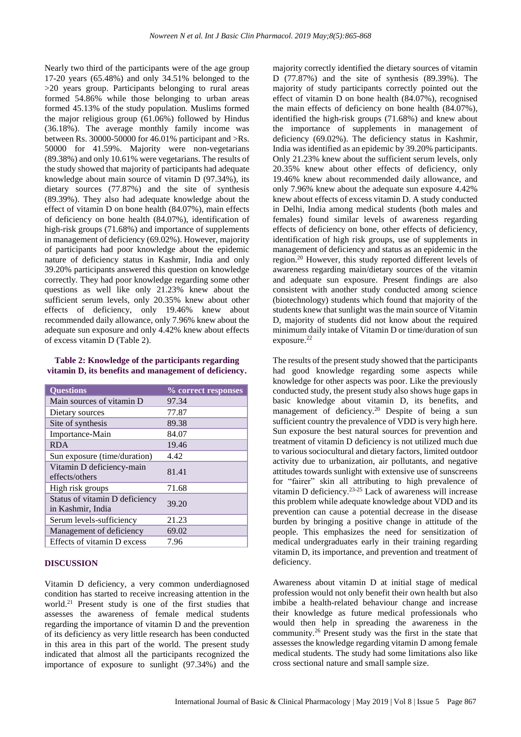Nearly two third of the participants were of the age group 17-20 years (65.48%) and only 34.51% belonged to the >20 years group. Participants belonging to rural areas formed 54.86% while those belonging to urban areas formed 45.13% of the study population. Muslims formed the major religious group (61.06%) followed by Hindus (36.18%). The average monthly family income was between Rs. 30000-50000 for 46.01% participant and >Rs. 50000 for 41.59%. Majority were non-vegetarians (89.38%) and only 10.61% were vegetarians. The results of the study showed that majority of participants had adequate knowledge about main source of vitamin D (97.34%), its dietary sources (77.87%) and the site of synthesis (89.39%). They also had adequate knowledge about the effect of vitamin D on bone health (84.07%), main effects of deficiency on bone health (84.07%), identification of high-risk groups (71.68%) and importance of supplements in management of deficiency (69.02%). However, majority of participants had poor knowledge about the epidemic nature of deficiency status in Kashmir, India and only 39.20% participants answered this question on knowledge correctly. They had poor knowledge regarding some other questions as well like only 21.23% knew about the sufficient serum levels, only 20.35% knew about other effects of deficiency, only 19.46% knew about recommended daily allowance, only 7.96% knew about the adequate sun exposure and only 4.42% knew about effects of excess vitamin D (Table 2).

#### **Table 2: Knowledge of the participants regarding vitamin D, its benefits and management of deficiency.**

| <b>Questions</b>                                    | % correct responses |
|-----------------------------------------------------|---------------------|
| Main sources of vitamin D                           | 97.34               |
| Dietary sources                                     | 77.87               |
| Site of synthesis                                   | 89.38               |
| Importance-Main                                     | 84.07               |
| <b>RDA</b>                                          | 19.46               |
| Sun exposure (time/duration)                        | 4.42                |
| Vitamin D deficiency-main<br>effects/others         | 81.41               |
| High risk groups                                    | 71.68               |
| Status of vitamin D deficiency<br>in Kashmir, India | 39.20               |
| Serum levels-sufficiency                            | 21.23               |
| Management of deficiency                            | 69.02               |
| Effects of vitamin D excess                         | 7.96                |

#### **DISCUSSION**

Vitamin D deficiency, a very common underdiagnosed condition has started to receive increasing attention in the world.<sup>21</sup> Present study is one of the first studies that assesses the awareness of female medical students regarding the importance of vitamin D and the prevention of its deficiency as very little research has been conducted in this area in this part of the world. The present study indicated that almost all the participants recognized the importance of exposure to sunlight (97.34%) and the

majority correctly identified the dietary sources of vitamin D (77.87%) and the site of synthesis (89.39%). The majority of study participants correctly pointed out the effect of vitamin D on bone health (84.07%), recognised the main effects of deficiency on bone health (84.07%), identified the high-risk groups (71.68%) and knew about the importance of supplements in management of deficiency (69.02%). The deficiency status in Kashmir, India wasidentified as an epidemic by 39.20% participants. Only 21.23% knew about the sufficient serum levels, only 20.35% knew about other effects of deficiency, only 19.46% knew about recommended daily allowance, and only 7.96% knew about the adequate sun exposure 4.42% knew about effects of excess vitamin D. A study conducted in Delhi, India among medical students (both males and females) found similar levels of awareness regarding effects of deficiency on bone, other effects of deficiency, identification of high risk groups, use of supplements in management of deficiency and status as an epidemic in the region.<sup>20</sup> However, this study reported different levels of awareness regarding main/dietary sources of the vitamin and adequate sun exposure. Present findings are also consistent with another study conducted among science (biotechnology) students which found that majority of the students knew that sunlight wasthe main source of Vitamin D, majority of students did not know about the required minimum daily intake of Vitamin D or time/duration of sun exposure.<sup>22</sup>

The results of the present study showed that the participants had good knowledge regarding some aspects while knowledge for other aspects was poor. Like the previously conducted study, the present study also shows huge gaps in basic knowledge about vitamin D, its benefits, and management of deficiency.<sup>20</sup> Despite of being a sun sufficient country the prevalence of VDD is very high here. Sun exposure the best natural sources for prevention and treatment of vitamin D deficiency is not utilized much due to various sociocultural and dietary factors, limited outdoor activity due to urbanization, air pollutants, and negative attitudes towards sunlight with extensive use of sunscreens for "fairer" skin all attributing to high prevalence of vitamin D deficiency.23-25 Lack of awareness will increase this problem while adequate knowledge about VDD and its prevention can cause a potential decrease in the disease burden by bringing a positive change in attitude of the people. This emphasizes the need for sensitization of medical undergraduates early in their training regarding vitamin D, its importance, and prevention and treatment of deficiency.

Awareness about vitamin D at initial stage of medical profession would not only benefit their own health but also imbibe a health-related behaviour change and increase their knowledge as future medical professionals who would then help in spreading the awareness in the community.<sup>26</sup> Present study was the first in the state that assesses the knowledge regarding vitamin D among female medical students. The study had some limitations also like cross sectional nature and small sample size.